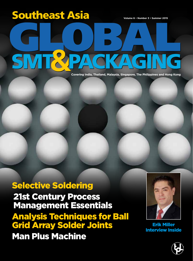# **Volume 6 • Number 3 • Summer 2015 Southeast Asia**

**Covering India, Thailand, Malaysia, Singapore, The Philippines and Hong Kong**

### Selective Soldering 21st Century Process Management Essentials Analysis Techniques for Ball Grid Array Solder Joints Man Plus Machine



Erik Miller Interview Inside

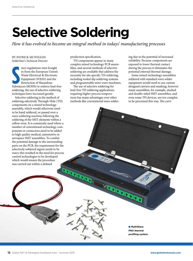## **Selective Soldering**

*How it has evolved to become an integral method in todays' manufacturing processes*

#### BY PATRICK MCWIGGIN *SolderStar's Technical Director*

France regulations were bought<br>
in from the European Union's<br>
Waste Electrical & Electronic<br>
Equipment (WEEE) and the<br>
Restriction of Hazardous<br>
Substances (ROHS) to enforce lead-free ince regulations were bought in from the European Union's Waste Electrical & Electronic Equipment (WEEE) and the Restriction of Hazardous soldering, the use of selective soldering techniques have increased greatly.

Selective soldering is the method of soldering selectively Through-Hole (TH) components on a mixed technology assembly, which would otherwise need to be hand soldered, or passed over a wave soldering machine following the soldering of the SMT elements within a reflow oven. It is commonly used where a number of conventional technology components or connectors need to be added to high quality medical, automotive or aerospace SMT assemblies. To combat the potential damage to the surrounding parts on the PCB, the requirement for the selectively soldered region needs to be exact; this resulted in the need for process control technologies to be developed which would ensure the procedure was carried out within a defined **ENGINEERS** 

production specification.

TH components appear in many complex mixed technology PCB assemblies, and several methods of selective soldering are available that address the necessity for site specific TH soldering, including tooled dip soldering systems and programmable mini-wave machines.

The use of selective soldering for lead-free TH soldering applications requiring higher process temperatures has many advantages over other methods like conventional wave soldering due to the potential of increased reliability. Because components are exposed to lower thermal contact during the process it eliminates the potential internal thermal damage.

Some mixed-technology assemblies soldered with standard wave solder equipment would need to use custom designed carriers and masking, however many assemblies, for example, stacked and double-sided SMT assemblies, and even some TH devices, are too complex to be processed this way. The carri-

■ **MultiWave PRO thermal profiling system.**

**CARD READY**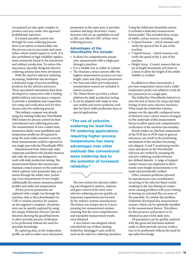ers required are also quite complex to produce and may render this approach prohibitively expensive.

If a board assembly cannot run through the wave soldering process, there is an option to hand solder, but this process can in inaccurate and cause failure which would require re-work. It is also prohibited in high reliability applications commonly found in the automotive and military production. To reduce this inaccuracy, specially designed selective soldering systems have been developed.

With the need for selective soldering increasing, SolderStar has developed a dedicated range of process profiling products for the selective processes. These specialised instruments have been developed in conjunction with a leading global military and aerospace company to provide a standalone and comprehensive setup and verification tool for their chosen selective soldering process.

This military company was already using the existing Solderstar WaveShuttle PRO system for process control on their conventional wave soldering processes. The measurement of wave contact time, immersion depth, wave parallelism and temperature profile are all required to setup the wave solder machine correctly, these measurements could be captured in one single pass with the WaveShuttle PRO.

Manufactured from 10mm anti-static composite and fitted with durable titanium side rails, the system was designed to work with daily production testing. The measurement fixture also incorporates titanium contact sensors on the underside which captures wave parameter data as it moves through the solder wave, including a true measurement of wave height. Additionally the system measures preheat profiles and solder pot temperatures.

All key process parameters are captured with a single run through the machine, data is then downloaded via USB or wireless interface for analysis on the engineer's computer. All parameters can be quickly analysed by using the unique Solderstar Process Checker function showing the good/bad limits to allow periodic process verification to be performed without the need for specialist knowledge.

By capturing data on the temperature profile, as well as solder wave interaction

parameters in the same pass, it provides medium and large electronics' manufacturers with set up capabilities as well as full, cost-effective SPC of their wave soldering process.

#### **Advantages of the WaveShuttle Pro include:**

- It allows for comprehensive parameters measurement with a single pass through a machine
- It is a reliable way to solder in volume
- The titanium contact sensors offer the highest measurement accuracy on wave height, main and chip wave parameters
- Pre-heat and solder pot temperature measurement sensors are included to ensure accuracy
- The 10mm fixture provides a robust platform for daily production testing
- It can be adapted with made to measure widths and sensor positions available for fixed width production lines or special applications

**"The use of selective soldering for lead-free TH soldering applications requiring higher process temperatures has many advantages over other methods like conventional wave soldering due to the potential of increased reliability."** 

The new system for selective soldering was designed to analyse, improve and gain control of the mini-wave selective soldering process quickly, an important requirement put forward by the military systems manufacturer. The fixture was unique due to it incorporating two measurement systems ensuring that the most comprehensive and repeatable measurement results were obtained.

A new fixture was designed which extended the use of their existing SolderStar datalogger's and could be used on the selective soldering machines. Using the Solderstar Smartlink system, it included a dedicated measurement fixture/pallet. This included three arrays of solder contact sensors, including;

- X Speed Sensors which measure and verify the speed of the X axis of the machine
- Y Speed Sensor which measure and verify the speed of the Y axis of the machine
- Height Array –Contact sensors that are set at height increments of 0.2mm to 2.4mm to allow the height of the solder 'bubble' to verified

In addition to these innovations, a pre-heat temperature sensor and a solder temperature probe was added to verify all key parameters in a single pass.

The SolderStar WaveShuttle Selective is now the tool of choice for setup and daily testing of mini-wave selective machines. What made the SolderStar solution unique was the specially configured array of titanium wave contact sensors arranged on the underside of this measurement fixture to allow quick and comprehensive verification of the machine functionality.

Nozzle strikes on clinched components of the PCB due to PCB warp or general tolerances can result in the positioning mechanism of the machine becoming mis-aligned. X and Y positioning mechanism and speed on the WaveShuttle Selective are verified by sweeping the selective soldering nozzles between pre-defined datum's. A range of stepped contact sensors are employed to allow nozzle wave height measurements to be made and periodically verified.

Other common problems reported by manufacturers was crystallisation occurring in the selective fluxer nozzle resulting in the mis-fluxing of components causing problems with poor wetting or leaving un-activated flux on areas of the assembly. To combat this problem SolderStar developed flux measurement sensors, which can be optionally installed to the measurement fixture. This allows for flux presence and position to be obtained as part of the daily tests.

All parameters can be quickly analysed with the good and bad limits defined easily to allow periodic process verification to be performed without the need for specialist knowledge.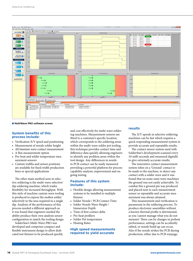

■ MultiWave PRO software screen.

#### **System benefits of this process include:**

- Verification X/Y speed and positioning
- Measurement of nozzle solder height
- All titanium wave contact measurement
- A flux measurement option
- Pre-heat and solder temperature measurement sensors
- Custom widths and sensor positions are available for fixed width production lines or special applications

The other main method seen in selective soldering is the multi-wave selective/ dip soldering machine, which trades flexibility for increased throughput. With this style of machine custom wave tooling is produced to expose the molten solder selectively to the area required in a single dip. Analysis of the performance of this process needed a different approach as it was found that engineers needed the ability produce their own analysis sensor configuration to match the tooling design.

SolderStar's Multi-Wave PRO was developed and comprises compact and flexible instrument design to allow dedicated test fixtures to be produced quickly

and cost effectively for multi-wave soldering machines. Measurement sensors are fitted to a customer's specific location, which corresponds to the soldering areas within the multi-wave solder pot tooling, this technique provides contact time and difference data quickly allowing engineers to identify any problem areas within the tool design. Any differences in nozzle to PCB contact can be easily measured providing a powerful platform for process capability analysis, improvement and ongoing testing.

#### **Features of this system include:**

- Flexible design allowing measurement systems to be installed to multiple fixtures
- Solder Nozzle / PCB Contact Time
- Solder Nozzle Wave Height /
- Immersion Depth Time of first contact delta
- Pre-heat profilers
- Solder Pot temperature
- Heating Rates

#### **High speed measurements required to yield accurate**

#### **results**

The X/Y speeds in selective soldering machines can be fast which requires a quick responding measurement system to provide accurate and repeatable results.

The contact sensor system used with SolderStar's development scanned every 10 milli-seconds and measured digitally to give extremely accurate results.

The innovative contact measurement system relies on a 'Ground' contact to be made to the machine, to detect any contact with a solder wave and it was found that on some mini wave machines the ground was not easily achievable. To combat this a ground pin was produced and placed next to each measurement sensor so repeatable and accurate measurement was always attained.

This measurement and verification is paramount in the soldering process. To produce electronic assemblies without a known thermal profile is detrimental, as you 'cannot manage what you do not measure'. There can be changes in preheat performance, settings can be accidently edited, or nozzle build up can occur. Also if the nozzle strikes the PCB during production, either due to PCB warpage,